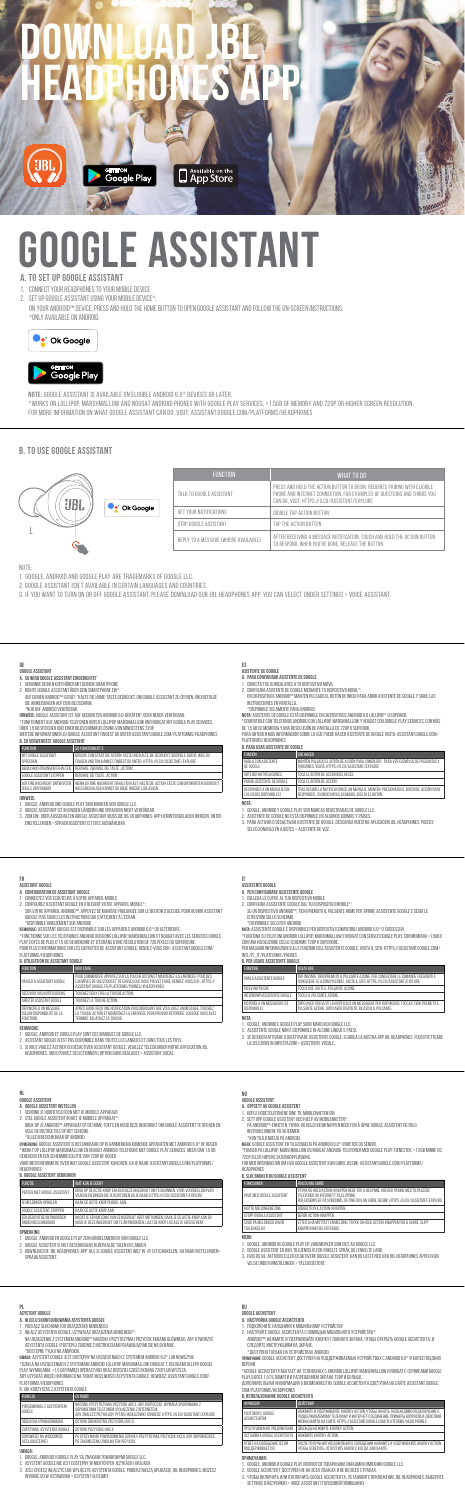# **Download JBL Headphones APP**

**NOTE:** Google Assistant is available on eligible Android 6.0\* devices or later. \*WORKS ON LOLLIPOP, MARSHMALLOW AND NOUGAT ANDROID PHONES WITH GOOGLE PLAY SERVICES, >1.5GB OF MEMORY AND 72OP OR HIGHER SCREEN RESOLUTION<br>FOR MORE INFORMATION ON WHAT GOOGLE ASSISTANT CAN DO, VISIT: ASSISTANT.GOOGLE.COM/P



**GET TON**<br>Google Play

**D** Available on the

# **GLE ASSISTANT**

- 
- 1. Google, Android and Google Play are trademarks of Google LLC. 2. Google Assistant isn't available in certain languages and countries.
- 3. IF YOU WANT TO TURN ON OR OFF GOOGLE ASSISTANT, PLEASE DOWNLOAD OUR JBL HEADPHONES APP. YOU CAN SELECT UNDER SETTINGS > VOICE ASSISTANT.

Note:

# **b. To use Google Assistant**

| <b>FUNCTION</b>                       | WHAT TO DO                                                                                                                                                                                            |
|---------------------------------------|-------------------------------------------------------------------------------------------------------------------------------------------------------------------------------------------------------|
| TAI K TO GOOGLE ASSISTANT             | PRESS AND HOLD THE ACTION BUTTON TO BEGIN. REQUIRES PAIRING WITH ELIGIBLE<br>PHONE AND INTERNET CONNECTION. FOR EXAMPLES OF QUESTIONS AND THINGS YOU<br>CAN DO. VISIT: HTTPS://G.CO/ASSISTANT/EXPLORE |
| GET YOUR NOTIFICATIONS                | DOUBLE TAP ACTION BUTTON                                                                                                                                                                              |
| STOP GOOGLE ASSISTANT                 | TAP THE ACTION BUTTON                                                                                                                                                                                 |
| REPLY TO A MESSAGE (WHERE AVAILABLE). | AFTER RECEIVING A MESSAGE NOTIFICATION. TOUCH AND HOLD THE ACTION BUTTON<br>TO RESPOND, WHEN YOU'RE DONE, RELEASE THE BUTTON                                                                          |

# Talk to Alexa "Alexa, What's the weather?"  $RMS$ /PHONES



| Ok Google |
|-----------|
|           |

- **a. To set up Google Assistant**
- 1. Connect your headphones to your mobile device **2. SET UP GOOGLE ASSISTANT USING YOUR MOBILE DEVICE\***
- On your Android™ device, press and hold the home button to open Google Assistant and follow the on-screen instructions. \*Only available on Android.



# ளாஸ்<br>Google Play

- **DE Google Assistant a. So wird Google Assistant eingerichtet**
- 
- 
- **DE<br>AO SUMER ASSISTANT EINGERICHTET<br>1. SO WIRD GODIE ASSISTANT EINGERICHTET<br>2. AMARO COME ASSISTANT EINGERICHTEN STAAT FRUIDE<br>2. AICHER ANDERSINGER IGERENE SAMERFRUIDE EIN":<br>2. COMENCIAL COMENTARY EINGENER FRUIDE FRUIDE AU** 1. VERBINDE DENEN KOPPHÖREN ATT DENEN SAMARTPHONE<br>2. BICHTE GODALE ASSISTANT ÜBER DEN SMARTPHONE EN!":<br>AUF DENEN ANDRODI"-GERÄT: "HALTE DIE HOME-TASTE GEDRÜCKT, UM GOOGLE ASSISTANT ZU ÖFFNEN, UND BEFOLGE<br>DE ANNESO/NGEN AUF
- 
- " NUM AU- ANUAUJU VEN URBURAL DE DISPORTEN ANDROID 6.0-GERÄTEN" ODER NEUER VERFÜGBAR. " "WEN-VALUM VEN ASSTE<br>"FUNKTIONER" AUF ANDEREN DER ELEMENT UNTER LULIPOR MARSHALLUN UND NOUGAT MIT GOOGLE PLAY SERVICES, " "COMPATIB<br>ÜB instructions, select Settings > Voice assistant > Amazon Alexa follow the app instructions. Weitere Informationen zu Google Assistant findest du unter assistant.google.com/platforms/headphones **b. So verwendest Google Assistant**

L'ONGONO IL LEMMIR, READREZATIONARE<br>1. GOOGLE, ANDROID ET OCOGLE PLAY SONT DES MARQUES DE GOOGLE TOMS TOUR LA COLLE ANDROID E GOOGLE ANDROID E GOO<br>2. ASSISTANT GOOGLE PART SONT DES MARQUES DE GOOGLE LLC.<br>3. SYGUS VOLLEZ AC 3. Se desideri attivare o disattivare Assistente Google, scarica la nostra app JBL Headphones. Puoi effettuare la selezione in Impostazioni > Assistente vocale.

- -
- NO<br>AO OPOSETT AV ODOBLE ASSISTENT<br>A. OPPSETT AV ODOBLE ASSISTENT<br>- PA ANDRODIE SASISTENT VED HELP AV MOBILENHETEN":<br>- PA ANDRODIE "ARSISTENT VED HELP AV MOBILENHETEN":<br>- PA ANDRODIE" "APA SA SCENMEN.<br>- INSTRUKSJONENE PÅ SK

| B. SU VERWENDEST BUUBLE ASSISTANT                 |                                                                                                                                                              |
|---------------------------------------------------|--------------------------------------------------------------------------------------------------------------------------------------------------------------|
| <b>FUNKTION</b>                                   | SO FUNKTIONIERT'S                                                                                                                                            |
| MIT GOOGLE ASSISTANT<br>SPRECHEN                  | DRÜCKE ZUM START DIE ACTION-TASTE UND HALTE SIE GEDRÜCKT. BEISPIELE DAFÜR, WAS DU<br>FRAGEN UND TUN KANNST. FINDEST DU UNTER: HTTPS://G.CO/ASSISTANT/EXPLORE |
| BENACHRICHTIGUNGEN FRHAITEN                       | BERÜHRE ZWEIMAL DIE TASTE .ACTION".                                                                                                                          |
| GOOGLE ASSISTANT STOPPEN                          | BERÜHRE DIE TASTE "ACTION".                                                                                                                                  |
| AUF FINE NACHRICHT ANTWORTEN<br>(FALLS VERFÜGRAR) | WENN DU EINE NACHRICHT ERHALTEN HAST. HALTE DIE ACTION-TASTE ZUM ANTWORTEN GEDRÜCKT.<br>NACH ARSCHLUSS KANNST DU DIESE WIEDER LOSI ASSEN.                    |
|                                                   |                                                                                                                                                              |

- 
- HINWES:<br>1. GOOBLE ANDROID UND GOOBLE PLAY SIND MARKEN VON GOOBLE LLC.<br>2. GOOBLE ASSISTANT IST IN ENNEEN LANDERN UND SPAACHEN NICHT VERFÜGBAR.<br>3. ZUNG EN-GOER AUSSCHALTEN GOOBLE ASSISTANT MASS DIE JELHEADPHONES-APP HERUNTER

# **ES**

- 
- 

ASSTERITE DE GOOGLE<br>1. CONECTA TUS AURICULARES A TU DESPOSITIVO MÓVIL<br>1. CONECTA TUS AURICULARES A TU DESPOSITIVO MÓVIL<br>1. CONECTA TUS AURICULE DE COOGLE NEEMANTE TU DESPOSITIVO MÓVIL.":<br>18 L'OSPOSITIVOS ANCROLOPPANATEN PU

R<br>
RELATIONS AND A SISTEME DE CODELE ESTA AUSQUALE EN IDISPOSITIVOS ANGROD EO LOLLIPOP-O SUPERIOR.<br>
TO LA SERIE DE CODELE EN ANGRESO DA VILLAGA AUSAN DE VILLAGA AUSAN LON VICUATA CON GODELE PLAY SERVICES, CON<br>
DE LA GIO DE

# 5. Click the Plus (+) button on the top right of the screen and select 'Add Device'. **FR**

| B. PER USARE ASSISTENTE GOOGLE                            |                                                                                                                                                                        |  |
|-----------------------------------------------------------|------------------------------------------------------------------------------------------------------------------------------------------------------------------------|--|
| <b>FUNZIONE</b>                                           | COSA FARE                                                                                                                                                              |  |
| PARLA ASSISTENTE GOOGLE                                   | PER IN/ZIABE TIENI PREMUTO IL PUI SANTE AZIONE. PER CONSULTARE LE DOMANDE EREQUENTI E<br>CONOSCERE LE AZIONI POSSIBILI. VISITA IL SITO: HTTPS://G.CO/ASSISTANT/EXPLORE |  |
| <b>BICEVI NOTIFICHE</b>                                   | TOCCA DUE VOLTE IL PULSANTE AZIONE                                                                                                                                     |  |
| INTERROMPLASSISTENTE GOOGLE                               | TOCCA IL PIU SANTE AZIONE                                                                                                                                              |  |
| <b>RISPONDI A UN MESSAGGIO (SE</b><br><b>DISPONIBILET</b> | DOPO AVER RICEVUTO LA NOTIFICA DI UN MESSAGGIO. PER RISPONDERE TOCCA E TIENI PREMUTO IL<br>PULSANTE AZIONE, DOPO AVER RISPOSTO, RILASCIA IL PULSANTE.                  |  |

- 
- 1. VERBIND JE HOOFDTELEFOON MET JE MOBIELE APPARAAT<br>2. STEL GOOGLE ASSISTENT IN MET JE MOBIELE APPARAAT\*:<br>- DRUK OP JE ANDROID™-APPARAAT OP DE HOME-TOETS EN HOUD DEZE INGEDRUKT OM GOOGLE ASSISTENT TE OPENEN EN volg de instructies op het scherm.
- 

° ALLEEN BESCHIKBAAR OP ANDROID.<br>**opmerking:** Goodle Assistent is beschikbaar op in Aanmerking komende apparaten met Android 6.0° of Hoger<br>"Werkt op Lollipop, Marshmallow en Nougat Android-Telefoons met Google Play Servic

| FUNCIÓN                                                     | <b>OUF HACER</b>                                                                                                                           |  |
|-------------------------------------------------------------|--------------------------------------------------------------------------------------------------------------------------------------------|--|
| HABI A CON ASISTENTE<br>DE GOOGLE                           | MANTÉN PULSADO EL BOTÓN DE ACCIÓN PARA COMENZAR. PARA VER E IEMPLOS DE PREGUNTAS Y<br>FUNCIONES VISITA: HTTPS://G.CO./ASSISTANT/EXPLORE    |  |
| ORTENER NOTIFICACIONES.                                     | TOCA FL BOTÓN DE ACCIÓN DOS VECES                                                                                                          |  |
| PARAR ASISTENTE DE GOOGLE                                   | TOCA EL BOTÓN DE ACCIÓN                                                                                                                    |  |
| <b>RESPONDER A UN MENSAIE (FN</b><br>LOS CASOS DISPONIBLEST | TRAS RECIBIR LA NOTIFICACIÓN DE UN MENSAJE. MANTÉN PRESIONADO EL BOTÓN DE ACCIÓN PARA<br>RESPONDER. CUANDO HAYAS ACABADO, SUELTA EL BOTÓN. |  |
| NOTA:                                                       |                                                                                                                                            |  |

1. GODGLE, ANDROID Y GODGLE PLAY SON MARCAS REGISTRADAS DE GODGLE LLC.<br>2. ASISTENTE DE GODGLE PO ESTÁ DISPONIBLE EN ALGUNOS IDIOMAS Y PAÍSES.<br>3. PARA ACTIVAR O DESACTIVAR ASISTENTE DE GODGLE, DESCARGA NUESTRA APLICACIÓN JB

# **IT**<br>Assistente google

- 
- 

ASSISTENTE ODOOLE<br>1. deslega else luffe assistente odoole<br>2. Confolga assistente godel dal Tuo Dispustivo Mobile»:<br>3. Confolga assistente godel dal Tuo Dispustivo Mobile»:<br>Istruzioni sullo Schermo.<br>Istruzioni sullo Schermo

" DEPOTIVIBLE SOLD PER ANGROLD.<br>MORE ASSISTENTE DODGLE E DISPONDIELE PER DISPOSITIVI COMPATIBIL ANDROID 6.0 " O SUCCESSIVI.<br>"FUNCIONA SULTELEFON ANDROID (OLLIPIDE MARSHMALLOW E NOUGAT CON SERVIZI GODGLE PLAY, CON MEMORIA >

| B. UTILISATION DE ASSISTANT GODGLE |                                                |                                                                                                                                                                         | <b>B. PER USARE</b>   |
|------------------------------------|------------------------------------------------|-------------------------------------------------------------------------------------------------------------------------------------------------------------------------|-----------------------|
|                                    | <b>EDNCTION</b>                                | <b>OUDLEARE</b>                                                                                                                                                         | <b>FUNZIONE</b>       |
|                                    | PARLER À ASSISTANT GOOGLE                      | POUR COMMENCER, APPUYEZ SUR LA TOUCHE ACTION ET MAINTENEZ-LA ENFONCÉE, POUR DES<br>EXEMPLES DE QUESTIONS ET DE CHOSES QUE VOUS POUVEZ FAIRE. RENDEZ-VOUS SUR : HTTPS:// | PARLA ASSIST          |
|                                    |                                                | ASSISTANT GOOGLE ER/PLATEORMS/PHONES/#HEADPHONES                                                                                                                        | <b>BICEVI NOTIFIC</b> |
|                                    | <b>RECEVOIR VOS NOTIFICATIONS</b>              | TOUCHEZ DEUX EDIS LA TOUCHE ACTION                                                                                                                                      | INTERROMPLAS          |
|                                    | ARRÊTER ASSISTANT GOOGLE                       | TOUCHEZ LA TOUCHE ACTION                                                                                                                                                | <b>BISPONDI A LIN</b> |
|                                    | RÉPONDRE À UN MESSAGE                          | APRÊS AVOIR RECU UNE NOTIFICATION VOUS INDIQUANT QUE VOUS AVEZ UN MESSAGE. TOUCHEZ                                                                                      | <b>DISPONIBILET</b>   |
|                                    | (SELON DISPONIBILITÉ DE LA<br><b>EDNCTION3</b> | LA TOUCHE ACTIÓN ET MAINTENEZ-LA ENEONCÉE POUR POUVOIR RÉPONDRE LORSQUE VOUS AVEZ<br>TERMINÉ. RELÂCHEZ LA TOUCHE.                                                       | NOTA:                 |
|                                    |                                                |                                                                                                                                                                         | COOCLE AI             |

- 
- **remarque.**<br>1. Bookee, Android et Google Play sont des Marques de Google LLC.<br>2. Assistant Google N'est Pas Disponible Dans Toutes Les Langues et Dans Tousles Payes.<br>3. Asyous Vollez Activer Du Désactiver Assistant Google,

**Nota:** 

1. Google, Android e Google Play sono marchi di Google LLC. 2. Assistente Google non è disponibile in alcune lingue e paesi.

- **Assistant Google**
- 
- ASSISMI NUOVALE.<br>1. COMBEDIATION EXSISTANT GODOLE PPAREL MOBILE<br>2. COMBEDIATION EXSISTANT ON DE APPAREL MOBILE PRODUCTION AND RELEVANT DE LOLIEALE A UPO EN CONSIDERANT MOBILE<br>2. CONFIDARZ ASSISTANT GODELEN UITLISMIT VOTR A
- A. COMFIGURATION DE ASSISTANT GOOGLE<br>1. CONVERTEZ ANS ÉCOUTEURS À VOTRE APPAREL MOBILE<br>2. CONVERUREZ ASSISTANT GOOGLE EN UTILISANT VOTRE APPAREL MOBILE\* :<br>5. SUR VOTRE APPAREL ANDROID™, APPUYEZ DE MAFIÈRE PROLONISE SIN LE
- \*DISPONIBLE UNIQUEMENT SUR ANDROID.<br>REMARQUE: ASSISTANT GOOGLE EST DISPONIBLE SUR LES APPAREILS ANDROID 6.0\* OU ULTÉRIEURS.<br>\*FONCTIONNE SUR LES TÉLÉPHONES ANDROID VERSIONS LOLLIPOP, MARSHMALLOW ET NOUGAT AVEC LES SERVIC
- Play, dotés de plus d'1,5 Go de mémoire et d'écrans d'une résolution de 720 pixels ou supérieure. Pour plus d'informations sur les capacités de Assistant Google, rendez-vous sur : assistant.google.com/ platforms/headphones

# **b. Utilisation de Assistant Google**

**NL**

**Google Assistent a. Google Assistent instellen**

geheugen en een schermresolutie van 720p of hoger. Voor meer informatie over wat Google Assistent kan doen, ga je naar: assistant.google.com/platforms/

# headphones **B. Google Assistent gebruiken**

| <b>FUNCTIF</b>                                         | WAT KIN IF DOEN?                                                                                                                                                   |  |
|--------------------------------------------------------|--------------------------------------------------------------------------------------------------------------------------------------------------------------------|--|
| PRATEN MET GOOGLE ASSISTENT                            | DRUK OP DE ACTIE-KNOP EN HOUD DEZE INGEDRUKT OM TE BEGINNEN. VOOR VOORBEELDEN VAN<br>VRAGEN EN DINGEN DIE IF KUNT DOEN GA IF NAAR: HTTPS://G.CO/ASSISTANT/EXPLORE  |  |
| IF MEI DINGEN OPHALEN                                  | BAAK DE ACTIE-KNOP DUBBEL AAN                                                                                                                                      |  |
| GOOGLE ASSISTENT STOPPEN                               | RAAK DE ACTIE-KNOP AAN                                                                                                                                             |  |
| FEN BERICHT BEANTWOORDEN<br><b>UNDIEN BESCHIKBAAR)</b> | NADAT JE EEN MELDING VAN EEN BERICHT HEBT ONTVANGEN. RAAK JE DE ACTIE-KNOP AAN EN<br>HOUD IF DEZE INGEDRUKT OM TE ANTWOORDEN I AAT DE KNOP LOS ALS. IF GEREED RENT |  |

- 
- 
- **OPMERKING:**<br>2. GOOGLE ANDROID EN GOOGLE PLAY ZIJN HANDELSMERKEN VAN GOOGLE LLC.<br>2. GOOGLE ASSISTENT IS NIET BESCHKGAAR IN BEPAALDE TALEN EN LANDEN.<br>3. GRAAAKASSISTENT.<br>5. SPRAAKASSISTENT.<br>5. SPRAAKASSISTENT.

\*Kun tilgjengelig på Android. **Merk:** Google Assistent er tilgjengelig på Android 6.0\*-enheter og senere. \*Funger på Lollipop, Marshmallow og Nougat Android-telefoner med Google Play-tjenester, >1.5GB minne og

720p eller høyere skjermoppløsning. For mer informasjon om hva Google Assistent kan gjøre, besøk: assistant.google.com/platforms/

headphones **b. Slik bruker du Google Assistent**

| <b>FUNKS IONER</b>                          | HVA DUMÅ GIRRE                                                                                                                                                                                                |
|---------------------------------------------|---------------------------------------------------------------------------------------------------------------------------------------------------------------------------------------------------------------|
| PRAT MED GOOGLE ASSISTENT                   | TRYKK OG HOLD ACTION-KNAPPEN NEDE FOR Å REGYNNE, KREVER PARING MED TILPASSEDE.<br>TELEEONER OG INTERNETT-TILSLUTNING<br>FOR EKSEMPLER PÅ SPØRSMÅL OG TING DU KAN GJØRE. BESØK: HTTPS://G.CO/ASSISTANT/EXPLORE |
| MOTTA MELDINGENE DINE                       | DOBBELTRYKK ACTION-KNAPPEN                                                                                                                                                                                    |
| STOPP GOOGLE ASSISTENT                      | BERØR ACTION-KNAPPEN                                                                                                                                                                                          |
| SVAR PÅ MEI DINGER (HVDR<br>tii Gifnafi igi | ETTER Å HA MOTTATT EN MELDING. TRYKK OG HOLD ACTION-KNAPPEN FOR Å SVARE. SLIPP<br>KNAPPEN NÅR DU FR FERDIG                                                                                                    |

# **RU**

- 
- 
- 000014. ACCANTERET<br>1. TOD,KONPOTE HACKLEMENTAL<br>2. HACTPORKA GOOGLE ACCANTERITAL<br>2. HACTPORTE GOOGLE ACCANTERITA CHOMALULHO MOGNINHOTO VCTPORCITSA."<br>2. HACTPORTE GOOGLE ACCANTERITA CHOMALULHO MOGNINHOTO VCTPORCITSA."<br>2. HAC

BEPGAÑ.<br>PODORE ACCNCTEHT PASOTAET HA TEJREODHAX C ANDROD LOLLPOP. MARSHMALLOW K NOUGAT C CEPBIKCAMN GOOGLE<br>PLAV, GODEE 15 IS FILMART IN PASPELIEMHEM SKPAHA ZOOP K BOINJIE.<br>(DONDHANTEJN:HAR HADHPANLIKR O BOSMONHACHTX GOOGLE

| <b>ФУНКЦИЯ</b>                              | <b>ДЕЙСТВИЯ</b>                                                                                                                                                                                                                      |
|---------------------------------------------|--------------------------------------------------------------------------------------------------------------------------------------------------------------------------------------------------------------------------------------|
| PA3FORDP C GOOGLE<br>ACCVCTEHTOM            | НАЖМИТЕ И УДЕРЖИВАЙТЕ КНОПКУ АСТЮМ. ЧТОБЫ НАЧАТЬ. НЕОБХОДИМО ПОДКЛЮЧЕНИЕ К<br>ПОДДЕРЖИВАЕМОМУ ТЕЛЕФОНУ И ИНТЕРНЕТ-СОЕДИНЕНИЕ. ПРИМЕРЫ ВОПРОСОВ И ДЕЙСТВИЙ<br>MOKHO HAÑTH HA CAÑTE HTTPS://ASSISTANT GOOGLE COM/PLATEORMS/HEAD PHONES |
| ПРОСЛУШИВАНИЕ УВЕДОМЛЕНИЙ                   | ДВАЖДЫ НАЖМИТЕ КНОПКУ АСТЮN.                                                                                                                                                                                                         |
| OCTAHOBKA GOOGLE ACCVICTENTA                | HAЖMИTE KHOOKY ACTION                                                                                                                                                                                                                |
| OTBET HA COOБШЕНИЕ (ЕСЛИ<br>ПОДДЕРЖИВАЕТСЯ) | ПОСЛЕ ПОЛУЧЕНИЯ УВЕДОМЛЕНИЯ О СООБЩЕНИИ НАЖМИТЕ И УДЕРЖИВАЙТЕ КНОПКУ АСТЮМ.<br>ЧТОБЫ ОТВЕТИТЬ. ОТПУСТИТЕ КНОПКУ. КОГДА ЗАКОНЧИТЕ.                                                                                                    |

- 
- 
- **ITPMIRI-VANRIE.**<br>1. GOOBLE ANDROID KOODLE PLAY REIRROTCH TOBAPHAMM SHAKAMM KOMITAHMA GOOBLE LLC.<br>2. GOOBLE ACCNCTEHT JOCTVITEH HE HA BCEX REGIAKAX W HE BO BCEX CITPAHAX.<br>3. YTOBAE BROWNTEH AVIO FOXTIVEHT BOOBLE ACCNCTEHTA

# **PL**

- 
- 

ASYSTENT GOOGLE<br>1. PODAJCZ SUJCHOWANIA ASYSTENTA GOOGLE<br>2. WOŁACZ SUJCHAWIA DO URZĄDZENIA MAGIUJEGO<br>1. PODAJCZ SUJCHAWIA DO URZĄDZENIA MAGIUJEGO<br>1. MA URZĄDZENIU Z SYSTEMEN ANDRODI™ NADŚWI I PRZYTRZYMAJ PRZYCISK EKRANU GŁÓ

**UWAAR-ASYSTRIT GOOGLE EEST DOSTEPHY NA URFAZIZENIARIA Z SYSTEMEM ANGRIDO 6.0" ULIB NOWSZYM.<br>"PLZNA A NA URFAZIZENIAGH Z 'NSTEMAMI ANDROID LOLLIPGY. MARSHANLLOW I NOUGAT Z USLUGAMI SKLEPU GOOGLE<br>PLZN, WYMARANAK – 15. GO PA** 

| FUNKCJA                                           | CO BOBIC                                                                                                                                                                                                       |
|---------------------------------------------------|----------------------------------------------------------------------------------------------------------------------------------------------------------------------------------------------------------------|
| POROZMAWIA I Z ASYSTENTEM<br>GOOGLE               | NACIŚNU I PRZYTRZYMAJ PRZYCISK AKCJI. ABY ROZPOCZAĆ. WYMAGA SPAROWANIA Z<br>ODPOWIEDNIM TELEEONEM LPD ACZENIA Z INTERNETEM<br>ABY ZNALEŻĆ PRZYKŁADY PYTAŃ I WSKAZÓWKI. ODWIEDŹ: HTTPS://G.CO/ASSISTANT/EXPLORE |
| ODSŁUCHA I POWIADOMIENIA                          | DOTKNI I DWLIKROTNIE PRZYCISKII AKCJI                                                                                                                                                                          |
| ZATRZYMAJ ASYSTENTA GOOGLE                        | DOTKNI I PRZYCISKI LAKCJI                                                                                                                                                                                      |
| ODPOWIEDZ NA WIADOMOŚĆ<br><b>FIESLI DOSTEPNEL</b> | PO OTRZYMANIU POWIADOMIENIA DOTKNU I PRZYTRZYMAJ PRZYCISK AKCJL ABY ODPOWIEDZIEĆ.<br>PO ZAKOŃCZENIU ZWOLNU TEN PRZYCISK                                                                                        |

# **Uwaga:**

- .<br>1. Google Android i Google Play są znakami towarowymi Google Llc
- 
- 2. Asystent Google nie jest dostępny w niektórych językach i krajach.<br>3. Jeśli chcesz włączyć lub wyłączyć asystenta Google, pobierz naszą aplikację JBL Headphones. Możesz<br>– wybrać go w Ustawienia > Asystent Głosowy.

**MERK:**<br>1. BOOGLE, ANDROID OG GOOGLE PLAY ER VAREMERKER SOM EKS AV GOOGLE LLC.<br>2. GOOGLE ASSISTENT ER KKE TILDJENGELIG FOR ENKELTE SPRÅK OG I ENKELTE LAND.<br>3. HYG DU VIL AKTIVERE ELLER DEAKTIVERE GOOGLE ASSISTENT, KAN DU L